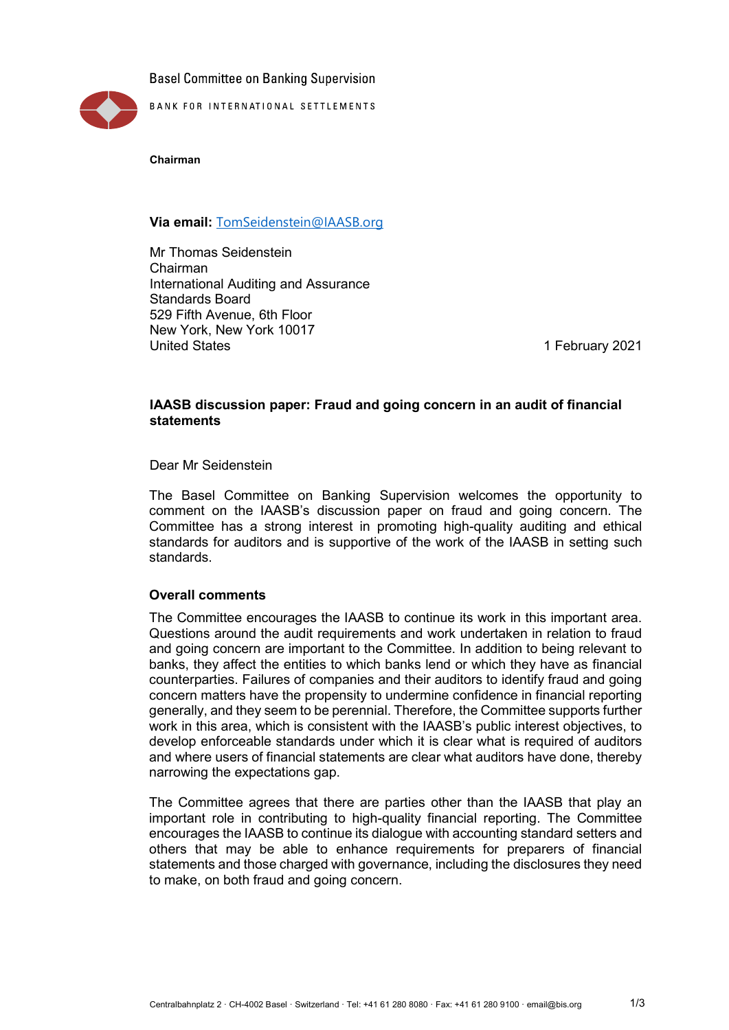**Basel Committee on Banking Supervision** 



**Chairman**

# **Via email:** [TomSeidenstein@IAASB.org](mailto:TomSeidenstein@IAASB.org)

Mr Thomas Seidenstein Chairman International Auditing and Assurance Standards Board 529 Fifth Avenue, 6th Floor New York, New York 10017<br>United States

1 February 2021

# **IAASB discussion paper: Fraud and going concern in an audit of financial statements**

Dear Mr Seidenstein

The Basel Committee on Banking Supervision welcomes the opportunity to comment on the IAASB's discussion paper on fraud and going concern. The Committee has a strong interest in promoting high-quality auditing and ethical standards for auditors and is supportive of the work of the IAASB in setting such standards.

## **Overall comments**

The Committee encourages the IAASB to continue its work in this important area. Questions around the audit requirements and work undertaken in relation to fraud and going concern are important to the Committee. In addition to being relevant to banks, they affect the entities to which banks lend or which they have as financial counterparties. Failures of companies and their auditors to identify fraud and going concern matters have the propensity to undermine confidence in financial reporting generally, and they seem to be perennial. Therefore, the Committee supports further work in this area, which is consistent with the IAASB's public interest objectives, to develop enforceable standards under which it is clear what is required of auditors and where users of financial statements are clear what auditors have done, thereby narrowing the expectations gap.

The Committee agrees that there are parties other than the IAASB that play an important role in contributing to high-quality financial reporting. The Committee encourages the IAASB to continue its dialogue with accounting standard setters and others that may be able to enhance requirements for preparers of financial statements and those charged with governance, including the disclosures they need to make, on both fraud and going concern.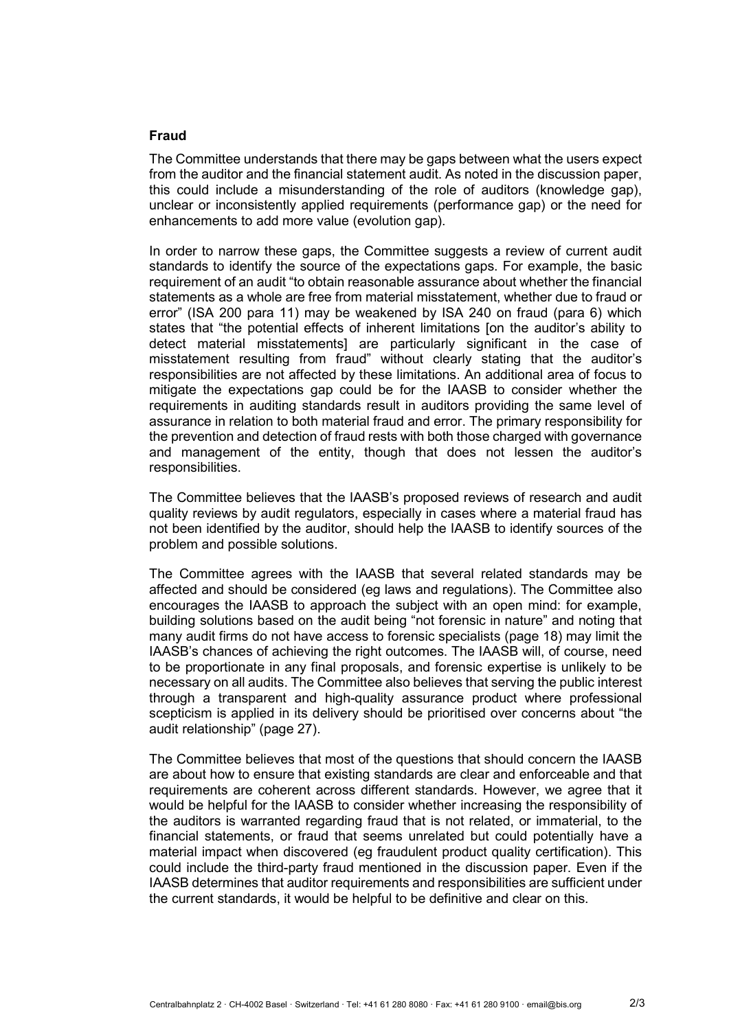### **Fraud**

The Committee understands that there may be gaps between what the users expect from the auditor and the financial statement audit. As noted in the discussion paper, this could include a misunderstanding of the role of auditors (knowledge gap), unclear or inconsistently applied requirements (performance gap) or the need for enhancements to add more value (evolution gap).

In order to narrow these gaps, the Committee suggests a review of current audit standards to identify the source of the expectations gaps. For example, the basic requirement of an audit "to obtain reasonable assurance about whether the financial statements as a whole are free from material misstatement, whether due to fraud or error" (ISA 200 para 11) may be weakened by ISA 240 on fraud (para 6) which states that "the potential effects of inherent limitations [on the auditor's ability to detect material misstatements] are particularly significant in the case of misstatement resulting from fraud" without clearly stating that the auditor's responsibilities are not affected by these limitations. An additional area of focus to mitigate the expectations gap could be for the IAASB to consider whether the requirements in auditing standards result in auditors providing the same level of assurance in relation to both material fraud and error. The primary responsibility for the prevention and detection of fraud rests with both those charged with governance and management of the entity, though that does not lessen the auditor's responsibilities.

The Committee believes that the IAASB's proposed reviews of research and audit quality reviews by audit regulators, especially in cases where a material fraud has not been identified by the auditor, should help the IAASB to identify sources of the problem and possible solutions.

The Committee agrees with the IAASB that several related standards may be affected and should be considered (eg laws and regulations). The Committee also encourages the IAASB to approach the subject with an open mind: for example, building solutions based on the audit being "not forensic in nature" and noting that many audit firms do not have access to forensic specialists (page 18) may limit the IAASB's chances of achieving the right outcomes. The IAASB will, of course, need to be proportionate in any final proposals, and forensic expertise is unlikely to be necessary on all audits. The Committee also believes that serving the public interest through a transparent and high-quality assurance product where professional scepticism is applied in its delivery should be prioritised over concerns about "the audit relationship" (page 27).

The Committee believes that most of the questions that should concern the IAASB are about how to ensure that existing standards are clear and enforceable and that requirements are coherent across different standards. However, we agree that it would be helpful for the IAASB to consider whether increasing the responsibility of the auditors is warranted regarding fraud that is not related, or immaterial, to the financial statements, or fraud that seems unrelated but could potentially have a material impact when discovered (eg fraudulent product quality certification). This could include the third-party fraud mentioned in the discussion paper. Even if the IAASB determines that auditor requirements and responsibilities are sufficient under the current standards, it would be helpful to be definitive and clear on this.